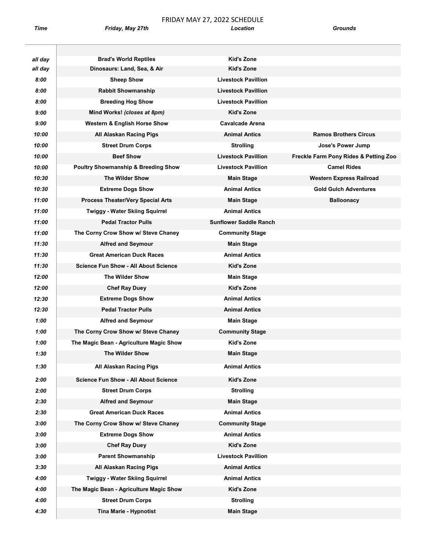$\overline{\phantom{0}}$ 

## FRIDAY MAY 27, 2022 SCHEDULE Time **Friday, May 27th** Chronical Location Crounds

| all day      | <b>Brad's World Reptiles</b>                          | <b>Kid's Zone</b>                            |                                       |
|--------------|-------------------------------------------------------|----------------------------------------------|---------------------------------------|
| all day      | Dinosaurs: Land, Sea, & Air                           | <b>Kid's Zone</b>                            |                                       |
| 8:00         | <b>Sheep Show</b>                                     | <b>Livestock Pavillion</b>                   |                                       |
| 8:00         | <b>Rabbit Showmanship</b>                             | <b>Livestock Pavillion</b>                   |                                       |
| 8:00         | <b>Breeding Hog Show</b>                              | <b>Livestock Pavillion</b>                   |                                       |
| 9:00         | Mind Works! (closes at 8pm)                           | <b>Kid's Zone</b>                            |                                       |
| 9:00         | <b>Western &amp; English Horse Show</b>               | <b>Cavalcade Arena</b>                       |                                       |
| 10:00        | All Alaskan Racing Pigs                               | <b>Animal Antics</b>                         | <b>Ramos Brothers Circus</b>          |
| 10:00        | <b>Street Drum Corps</b>                              | <b>Strolling</b>                             | Jose's Power Jump                     |
| 10:00        | <b>Beef Show</b>                                      | <b>Livestock Pavillion</b>                   | Freckle Farm Pony Rides & Petting Zoo |
| 10:00        | <b>Poultry Showmanship &amp; Breeding Show</b>        | <b>Livestock Pavillion</b>                   | <b>Camel Rides</b>                    |
| 10:30        | The Wilder Show                                       | <b>Main Stage</b>                            | <b>Western Express Railroad</b>       |
| 10:30        | <b>Extreme Dogs Show</b>                              | <b>Animal Antics</b>                         | <b>Gold Gulch Adventures</b>          |
| 11:00        | <b>Process Theater/Very Special Arts</b>              | <b>Main Stage</b>                            | <b>Balloonacy</b>                     |
| 11:00        | <b>Twiggy - Water Skiing Squirrel</b>                 | <b>Animal Antics</b>                         |                                       |
| 11:00        | <b>Pedal Tractor Pulls</b>                            | <b>Sunflower Saddle Ranch</b>                |                                       |
| 11:00        | The Corny Crow Show w/ Steve Chaney                   | <b>Community Stage</b>                       |                                       |
| 11:30        | <b>Alfred and Seymour</b>                             | <b>Main Stage</b>                            |                                       |
| 11:30        | <b>Great American Duck Races</b>                      | <b>Animal Antics</b>                         |                                       |
| 11:30        | <b>Science Fun Show - All About Science</b>           | <b>Kid's Zone</b>                            |                                       |
| 12:00        | <b>The Wilder Show</b>                                | <b>Main Stage</b>                            |                                       |
| 12:00        | <b>Chef Ray Duey</b>                                  | <b>Kid's Zone</b>                            |                                       |
| 12:30        | <b>Extreme Dogs Show</b>                              | <b>Animal Antics</b>                         |                                       |
| 12:30        | <b>Pedal Tractor Pulls</b>                            | <b>Animal Antics</b>                         |                                       |
| 1:00         | <b>Alfred and Seymour</b>                             | <b>Main Stage</b>                            |                                       |
| 1:00         | The Corny Crow Show w/ Steve Chaney                   | <b>Community Stage</b>                       |                                       |
| 1:00         | The Magic Bean - Agriculture Magic Show               | Kid's Zone                                   |                                       |
| 1:30         | The Wilder Show                                       | Main Stage                                   |                                       |
| 1:30         | All Alaskan Racing Pigs                               | <b>Animal Antics</b>                         |                                       |
| 2:00         | <b>Science Fun Show - All About Science</b>           | Kid's Zone                                   |                                       |
| 2:00         |                                                       | <b>Strolling</b>                             |                                       |
| 2:30         | <b>Street Drum Corps</b><br><b>Alfred and Seymour</b> |                                              |                                       |
| 2:30         | <b>Great American Duck Races</b>                      | <b>Main Stage</b><br><b>Animal Antics</b>    |                                       |
| 3:00         | The Corny Crow Show w/ Steve Chaney                   | <b>Community Stage</b>                       |                                       |
| 3:00         |                                                       | <b>Animal Antics</b>                         |                                       |
| 3:00         | <b>Extreme Dogs Show</b>                              | <b>Kid's Zone</b>                            |                                       |
| 3:00         | <b>Chef Ray Duey</b><br><b>Parent Showmanship</b>     | <b>Livestock Pavillion</b>                   |                                       |
|              |                                                       |                                              |                                       |
| 3:30<br>4:00 | All Alaskan Racing Pigs                               | <b>Animal Antics</b><br><b>Animal Antics</b> |                                       |
|              | <b>Twiggy - Water Skiing Squirrel</b>                 |                                              |                                       |
| 4:00         | The Magic Bean - Agriculture Magic Show               | Kid's Zone                                   |                                       |
| 4:00         | <b>Street Drum Corps</b>                              | <b>Strolling</b>                             |                                       |
| 4:30         | <b>Tina Marie - Hypnotist</b>                         | <b>Main Stage</b>                            |                                       |